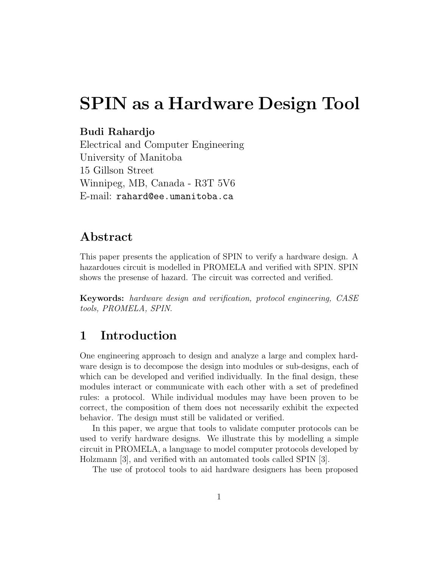# **SPIN as a Hardware Design Tool**

#### **Budi Rahardjo**

Electrical and Computer Engineering University of Manitoba 15 Gillson Street Winnipeg, MB, Canada - R3T 5V6 E-mail: rahard@ee.umanitoba.ca

### **Abstract**

This paper presents the application of SPIN to verify a hardware design. A hazardoues circuit is modelled in PROMELA and verified with SPIN. SPIN shows the presense of hazard. The circuit was corrected and verified.

**Keywords:** hardware design and verification, protocol engineering, CASE tools, PROMELA, SPIN.

### **1 Introduction**

One engineering approach to design and analyze a large and complex hardware design is to decompose the design into modules or sub-designs, each of which can be developed and verified individually. In the final design, these modules interact or communicate with each other with a set of predefined rules: a protocol. While individual modules may have been proven to be correct, the composition of them does not necessarily exhibit the expected behavior. The design must still be validated or verified.

In this paper, we argue that tools to validate computer protocols can be used to verify hardware designs. We illustrate this by modelling a simple circuit in PROMELA, a language to model computer protocols developed by Holzmann [3], and verified with an automated tools called SPIN [3].

The use of protocol tools to aid hardware designers has been proposed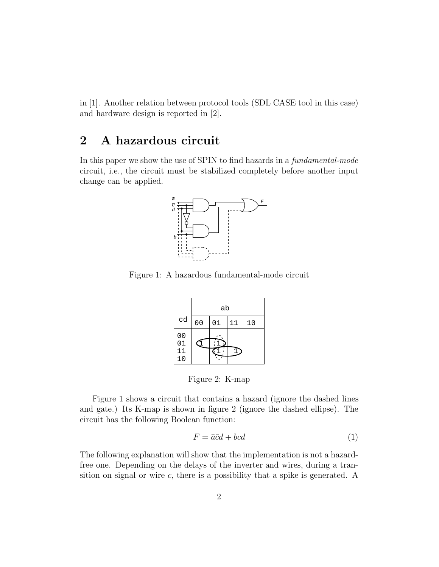in [1]. Another relation between protocol tools (SDL CASE tool in this case) and hardware design is reported in [2].

### **2A hazardous circuit**

In this paper we show the use of SPIN to find hazards in a fundamental-mode circuit, i.e., the circuit must be stabilized completely before another input change can be applied.



Figure 1: A hazardous fundamental-mode circuit

|                                  | ab             |    |    |    |  |  |  |
|----------------------------------|----------------|----|----|----|--|--|--|
| cd                               | 0 <sub>0</sub> | 01 | 11 | 10 |  |  |  |
| 0 <sub>0</sub><br>01<br>11<br>10 |                |    |    |    |  |  |  |

Figure 2: K-map

Figure 1 shows a circuit that contains a hazard (ignore the dashed lines and gate.) Its K-map is shown in figure 2 (ignore the dashed ellipse). The circuit has the following Boolean function:

$$
F = \bar{a}\bar{c}d + bcd \tag{1}
$$

The following explanation will show that the implementation is not a hazardfree one. Depending on the delays of the inverter and wires, during a transition on signal or wire  $c$ , there is a possibility that a spike is generated. A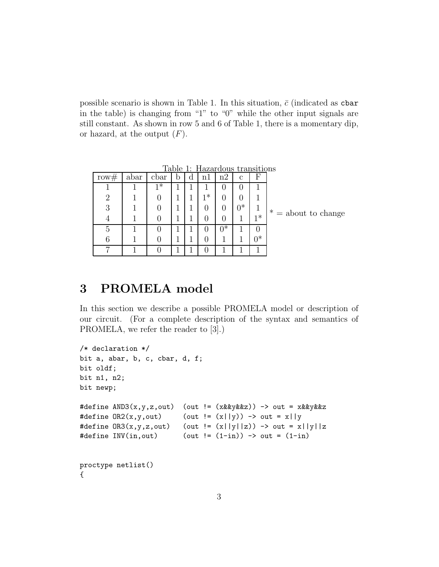possible scenario is shown in Table 1. In this situation,  $\bar{c}$  (indicated as cbar in the table) is changing from "1" to "0" while the other input signals are still constant. As shown in row 5 and 6 of Table 1, there is a momentary dip, or hazard, at the output  $(F)$ .

|                       | паныноны |              |       | 11azar dous |   | rapie |      |      |                             |
|-----------------------|----------|--------------|-------|-------------|---|-------|------|------|-----------------------------|
|                       | F        | $\mathbf{c}$ | n2    | n1          | d | b     | cbar | abar | row#                        |
|                       |          | $\cup$       | U     |             |   |       | $1*$ |      |                             |
|                       |          | 0            |       | $1*$        |   |       |      |      | $\mathcal{D}_{\mathcal{A}}$ |
| $* =$ about to change | 1        | $0^*$        |       |             |   |       |      |      | 3                           |
|                       | $1*$     |              |       | 0           |   |       |      |      |                             |
|                       |          |              | $0^*$ | 0           |   |       |      |      | 5                           |
|                       | $0^*$    |              |       |             |   |       |      |      | 6                           |
|                       |          |              |       |             |   |       |      |      | ⇁                           |

Table 1: Hazardous transitions

## **3 PROMELA model**

In this section we describe a possible PROMELA model or description of our circuit. (For a complete description of the syntax and semantics of PROMELA, we refer the reader to [3].)

```
/* declaration */
bit a, abar, b, c, cbar, d, f;
bit oldf;
bit n1, n2;
bit newp;
#define AND3(x,y,z,out) (out != (xkkyk&z)) -> out = xkkyk&z#define OR2(x, y, out) (out != (x||y)) -> out = x||y
#define OR3(x,y,z,out) (out != (x||y||z)) -> out = x||y||z#define INV(in, out) (out != (1-in)) \rightarrow out = (1-in)proctype netlist()
{
```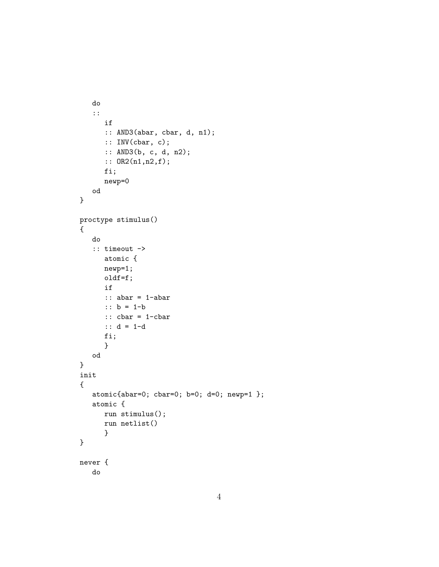```
do
   ::
      if
      :: AND3(abar, cbar, d, n1);
      :: INV(cbar, c);
      :: AND3(b, c, d, n2);
      :: OR2(n1,n2,f);
      fi;
      newp=0
  od
}
proctype stimulus()
{
   do
   :: timeout ->
      atomic {
      newp=1;
      oldf=f;
      if
      :: abar = 1-abar
      :: b = 1-b
      :: cbar = 1-cbar
      :: d = 1-d
      fi;
      }
  od
}
init
{
   atomic{abar=0; cbar=0; b=0; d=0; newp=1 };
   atomic {
      run stimulus();
      run netlist()
      }
}
never {
   do
```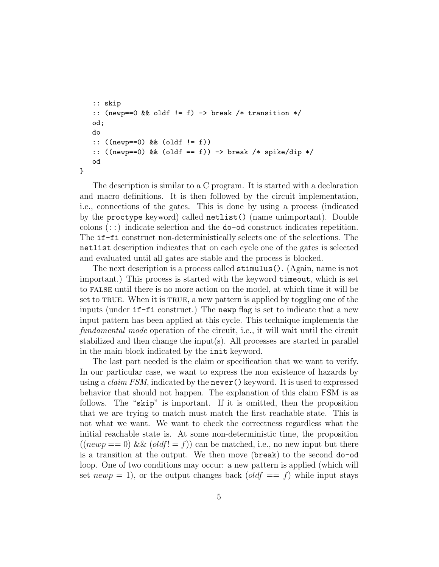```
:: skip
:: (newp==0 && oldf != f) -> break /* transition */od;
do
:: ((newp==0) && (oldf != f))
:: ((\text{newp}==0) \& (oldf == f)) \rightarrow \text{break } /* \text{ spike} / dip */od
```
}

The description is similar to a C program. It is started with a declaration and macro definitions. It is then followed by the circuit implementation, i.e., connections of the gates. This is done by using a process (indicated by the proctype keyword) called netlist() (name unimportant). Double colons (::) indicate selection and the do-od construct indicates repetition. The if-fi construct non-deterministically selects one of the selections. The netlist description indicates that on each cycle one of the gates is selected and evaluated until all gates are stable and the process is blocked.

The next description is a process called stimulus(). (Again, name is not important.) This process is started with the keyword timeout, which is set to false until there is no more action on the model, at which time it will be set to TRUE. When it is TRUE, a new pattern is applied by toggling one of the inputs (under if-fi construct.) The newp flag is set to indicate that a new input pattern has been applied at this cycle. This technique implements the fundamental mode operation of the circuit, i.e., it will wait until the circuit stabilized and then change the input(s). All processes are started in parallel in the main block indicated by the init keyword.

The last part needed is the claim or specification that we want to verify. In our particular case, we want to express the non existence of hazards by using a *claim FSM*, indicated by the **never**() keyword. It is used to expressed behavior that should not happen. The explanation of this claim FSM is as follows. The "skip" is important. If it is omitted, then the proposition that we are trying to match must match the first reachable state. This is not what we want. We want to check the correctness regardless what the initial reachable state is. At some non-deterministic time, the proposition  $((newp == 0) \& \& (oldf! = f))$  can be matched, i.e., no new input but there is a transition at the output. We then move (break) to the second do-od loop. One of two conditions may occur: a new pattern is applied (which will set  $newp = 1$ , or the output changes back  $\text{oldf} == f$  while input stays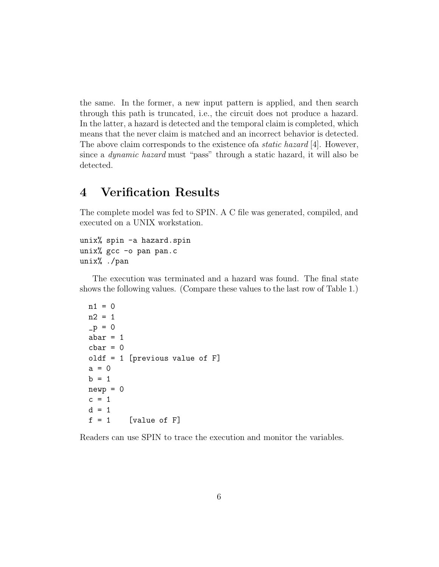the same. In the former, a new input pattern is applied, and then search through this path is truncated, i.e., the circuit does not produce a hazard. In the latter, a hazard is detected and the temporal claim is completed, which means that the never claim is matched and an incorrect behavior is detected. The above claim corresponds to the existence of a *static hazard* [4]. However, since a dynamic hazard must "pass" through a static hazard, it will also be detected.

### **4 Verification Results**

The complete model was fed to SPIN. A C file was generated, compiled, and executed on a UNIX workstation.

```
unix% spin -a hazard.spin
unix% gcc -o pan pan.c
unix% ./pan
```
The execution was terminated and a hazard was found. The final state shows the following values. (Compare these values to the last row of Table 1.)

```
n1 = 0n2 = 1-p = 0abar = 1char = 0oldf = 1 [previous value of F]
a = 0b = 1newp = 0c = 1d = 1f = 1 [value of F]
```
Readers can use SPIN to trace the execution and monitor the variables.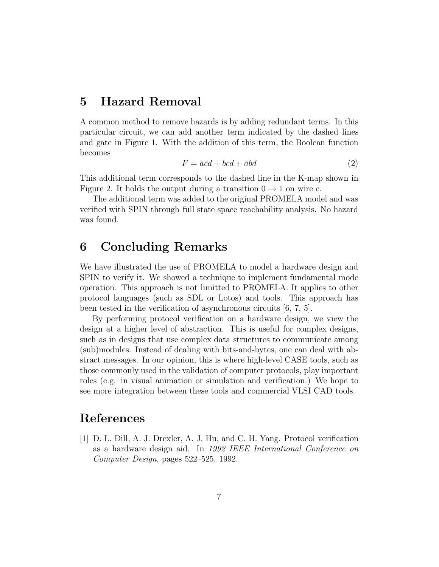### **5 Hazard Removal**

A common method to remove hazards is by adding redundant terms. In this particular circuit, we can add another term indicated by the dashed lines and gate in Figure 1. With the addition of this term, the Boolean function becomes

$$
F = \bar{a}\bar{c}d + bcd + \bar{a}bd \tag{2}
$$

This additional term corresponds to the dashed line in the K-map shown in Figure 2. It holds the output during a transition  $0 \rightarrow 1$  on wire c.

The additional term was added to the original PROMELA model and was verified with SPIN through full state space reachability analysis. No hazard was found.

### **6 Concluding Remarks**

We have illustrated the use of PROMELA to model a hardware design and SPIN to verify it. We showed a technique to implement fundamental mode operation. This approach is not limitted to PROMELA. It applies to other protocol languages (such as SDL or Lotos) and tools. This approach has been tested in the verification of asynchronous circuits [6, 7, 5].

By performing protocol verification on a hardware design, we view the design at a higher level of abstraction. This is useful for complex designs, such as in designs that use complex data structures to communicate among (sub)modules. Instead of dealing with bits-and-bytes, one can deal with abstract messages. In our opinion, this is where high-level CASE tools, such as those commonly used in the validation of computer protocols, play important roles (e.g. in visual animation or simulation and verification.) We hope to see more integration between these tools and commercial VLSI CAD tools.

### **References**

[1] D. L. Dill, A. J. Drexler, A. J. Hu, and C. H. Yang. Protocol verification as a hardware design aid. In 1992 IEEE International Conference on Computer Design, pages 522–525, 1992.